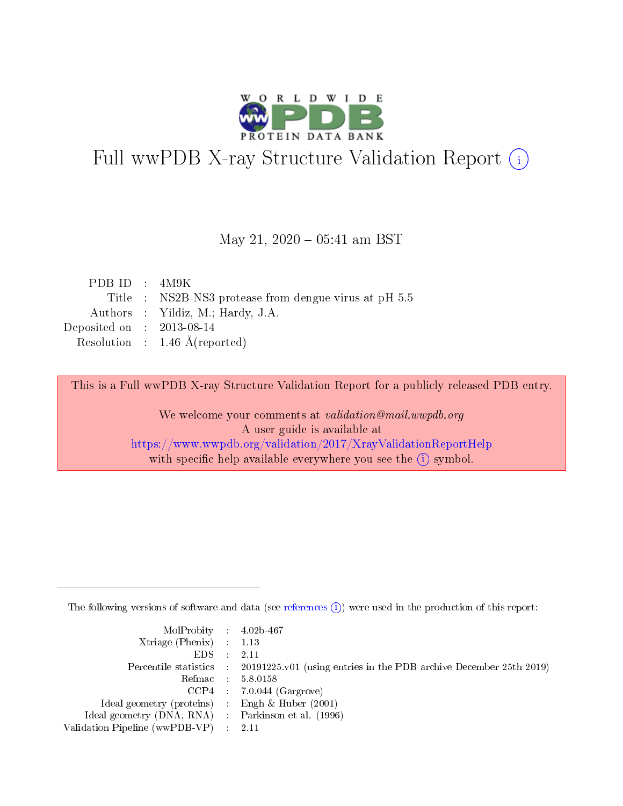

# Full wwPDB X-ray Structure Validation Report (i)

#### May 21,  $2020 - 05:41$  am BST

| PDB ID : $4M9K$             |                                                       |
|-----------------------------|-------------------------------------------------------|
|                             | Title : NS2B-NS3 protease from dengue virus at pH 5.5 |
|                             | Authors : Yildiz, M.; Hardy, J.A.                     |
| Deposited on : $2013-08-14$ |                                                       |
|                             | Resolution : $1.46 \text{ Å}$ (reported)              |
|                             |                                                       |

This is a Full wwPDB X-ray Structure Validation Report for a publicly released PDB entry.

We welcome your comments at validation@mail.wwpdb.org A user guide is available at <https://www.wwpdb.org/validation/2017/XrayValidationReportHelp> with specific help available everywhere you see the  $(i)$  symbol.

The following versions of software and data (see [references](https://www.wwpdb.org/validation/2017/XrayValidationReportHelp#references)  $(i)$ ) were used in the production of this report:

| MolProbity : $4.02b-467$                            |                                                                                            |
|-----------------------------------------------------|--------------------------------------------------------------------------------------------|
| Xtriage (Phenix) $: 1.13$                           |                                                                                            |
| EDS -                                               | 2.11                                                                                       |
|                                                     | Percentile statistics : 20191225.v01 (using entries in the PDB archive December 25th 2019) |
|                                                     | Refmac 58.0158                                                                             |
|                                                     | $CCP4$ 7.0.044 (Gargrove)                                                                  |
| Ideal geometry (proteins) : Engh $\&$ Huber (2001)  |                                                                                            |
| Ideal geometry (DNA, RNA) : Parkinson et al. (1996) |                                                                                            |
| Validation Pipeline (wwPDB-VP)                      | -2.11                                                                                      |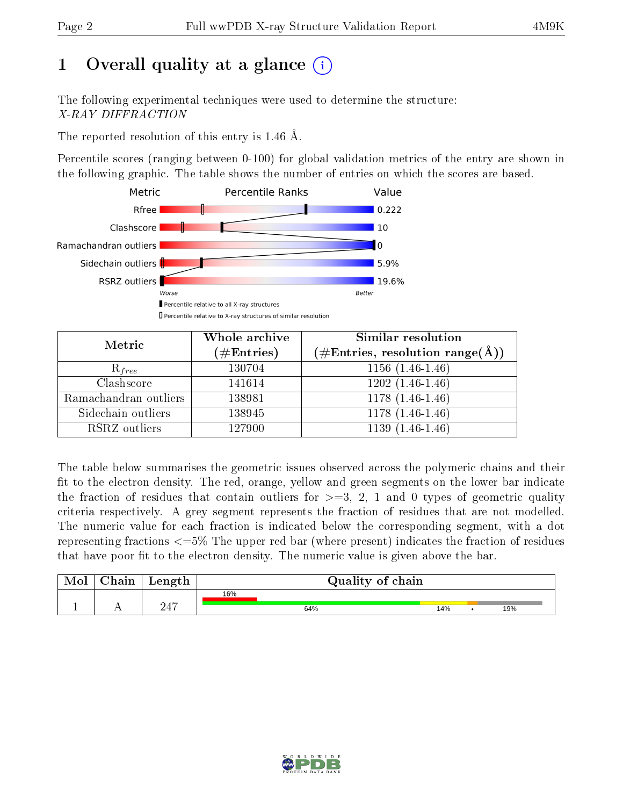# 1 [O](https://www.wwpdb.org/validation/2017/XrayValidationReportHelp#overall_quality)verall quality at a glance  $(i)$

The following experimental techniques were used to determine the structure: X-RAY DIFFRACTION

The reported resolution of this entry is 1.46 Å.

Percentile scores (ranging between 0-100) for global validation metrics of the entry are shown in the following graphic. The table shows the number of entries on which the scores are based.



| Metric                | Whole archive<br>$(\#\text{Entries})$ | <b>Similar resolution</b><br>(#Entries, resolution range(Å)) |
|-----------------------|---------------------------------------|--------------------------------------------------------------|
| $R_{free}$            | 130704                                | $1156(1.46-1.46)$                                            |
| Clashscore            | 141614                                | $1202(1.46-1.46)$                                            |
| Ramachandran outliers | 138981                                | $1178(1.46-1.46)$                                            |
| Sidechain outliers    | 138945                                | $1178(1.46-1.46)$                                            |
| RSRZ outliers         | 127900                                | $1139(1.46-1.46)$                                            |

The table below summarises the geometric issues observed across the polymeric chains and their fit to the electron density. The red, orange, yellow and green segments on the lower bar indicate the fraction of residues that contain outliers for  $>=3, 2, 1$  and 0 types of geometric quality criteria respectively. A grey segment represents the fraction of residues that are not modelled. The numeric value for each fraction is indicated below the corresponding segment, with a dot representing fractions  $\epsilon=5\%$  The upper red bar (where present) indicates the fraction of residues that have poor fit to the electron density. The numeric value is given above the bar.

| Mol       | $\gamma$ hain | Length |     | Quality of chain |     |  |     |  |  |  |
|-----------|---------------|--------|-----|------------------|-----|--|-----|--|--|--|
|           |               |        | 16% |                  |     |  |     |  |  |  |
| <u>д.</u> | . .           | 947    |     | 64%              | 14% |  | 19% |  |  |  |

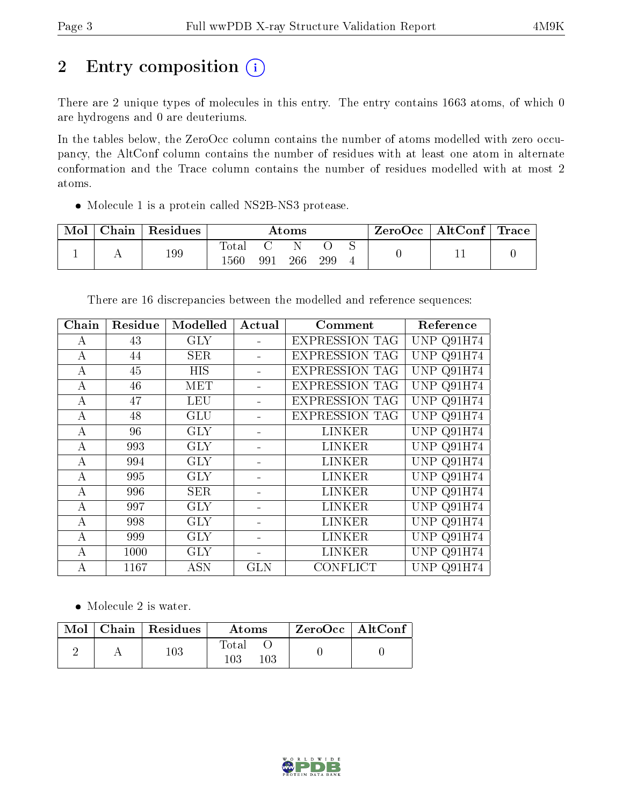# 2 Entry composition (i)

There are 2 unique types of molecules in this entry. The entry contains 1663 atoms, of which 0 are hydrogens and 0 are deuteriums.

In the tables below, the ZeroOcc column contains the number of atoms modelled with zero occupancy, the AltConf column contains the number of residues with at least one atom in alternate conformation and the Trace column contains the number of residues modelled with at most 2 atoms.

Molecule 1 is a protein called NS2B-NS3 protease.

| Mol | Chain | <sup>'</sup> Residues | $\rm\bf Atoms$               |     |     | ZeroOcc | $\mid$ AltConf $\mid$ Trace |  |  |  |
|-----|-------|-----------------------|------------------------------|-----|-----|---------|-----------------------------|--|--|--|
|     |       | 199                   | $\tau_\mathrm{otal}$<br>560ء | 991 | 266 | 299     |                             |  |  |  |

There are 16 discrepancies between the modelled and reference sequences:

| Chain | Residue | Modelled   | Actual     | Comment               | Reference         |
|-------|---------|------------|------------|-----------------------|-------------------|
| А     | 43      | <b>GLY</b> |            | <b>EXPRESSION TAG</b> | UNP Q91H74        |
| А     | 44      | <b>SER</b> |            | <b>EXPRESSION TAG</b> | UNP Q91H74        |
| А     | 45      | <b>HIS</b> |            | <b>EXPRESSION TAG</b> | UNP Q91H74        |
| А     | 46      | MET        |            | <b>EXPRESSION TAG</b> | UNP Q91H74        |
| А     | 47      | <b>LEU</b> |            | <b>EXPRESSION TAG</b> | <b>UNP Q91H74</b> |
| A     | 48      | <b>GLU</b> |            | <b>EXPRESSION TAG</b> | UNP Q91H74        |
| А     | 96      | <b>GLY</b> |            | LINKER                | <b>UNP Q91H74</b> |
| А     | 993     | <b>GLY</b> |            | LINKER                | UNP Q91H74        |
| А     | 994     | <b>GLY</b> |            | LINKER                | UNP Q91H74        |
| А     | 995     | <b>GLY</b> |            | LINKER                | UNP Q91H74        |
| A     | 996     | <b>SER</b> |            | <b>LINKER</b>         | <b>UNP Q91H74</b> |
| A     | 997     | <b>GLY</b> |            | LINKER                | UNP Q91H74        |
| А     | 998     | <b>GLY</b> |            | LINKER                | UNP Q91H74        |
| А     | 999     | <b>GLY</b> |            | <b>LINKER</b>         | UNP Q91H74        |
| А     | 1000    | <b>GLY</b> |            | LINKER                | UNP.<br>Q91H74    |
| А     | 1167    | <b>ASN</b> | <b>GLN</b> | CONFLICT              | Q91H74<br>UNP.    |

• Molecule 2 is water.

|  | $Mol$   Chain   Residues | Atoms        | $\,$ ZeroOcc   AltConf |  |
|--|--------------------------|--------------|------------------------|--|
|  | $103\,$                  | Total<br>103 |                        |  |

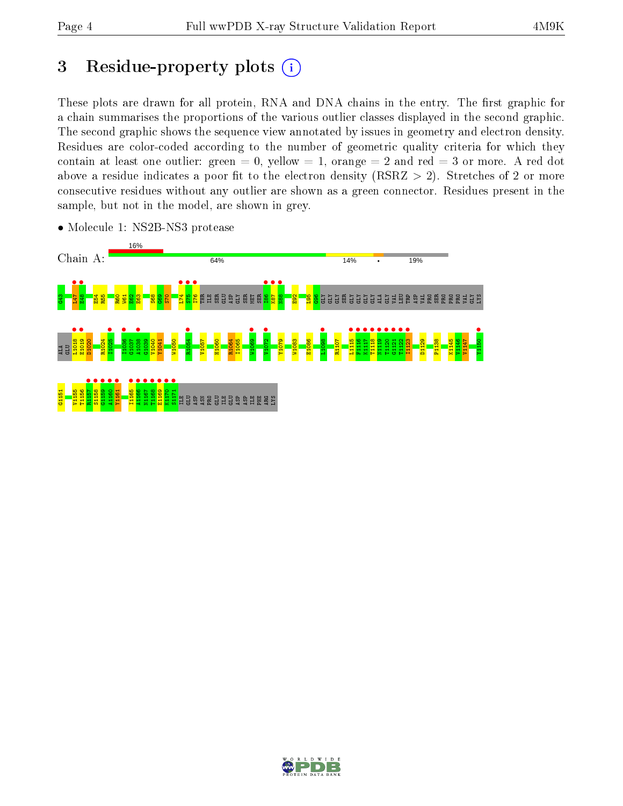# 3 Residue-property plots  $(i)$

These plots are drawn for all protein, RNA and DNA chains in the entry. The first graphic for a chain summarises the proportions of the various outlier classes displayed in the second graphic. The second graphic shows the sequence view annotated by issues in geometry and electron density. Residues are color-coded according to the number of geometric quality criteria for which they contain at least one outlier: green  $= 0$ , yellow  $= 1$ , orange  $= 2$  and red  $= 3$  or more. A red dot above a residue indicates a poor fit to the electron density (RSRZ  $> 2$ ). Stretches of 2 or more consecutive residues without any outlier are shown as a green connector. Residues present in the sample, but not in the model, are shown in grey.



• Molecule 1: NS2B-NS3 protease

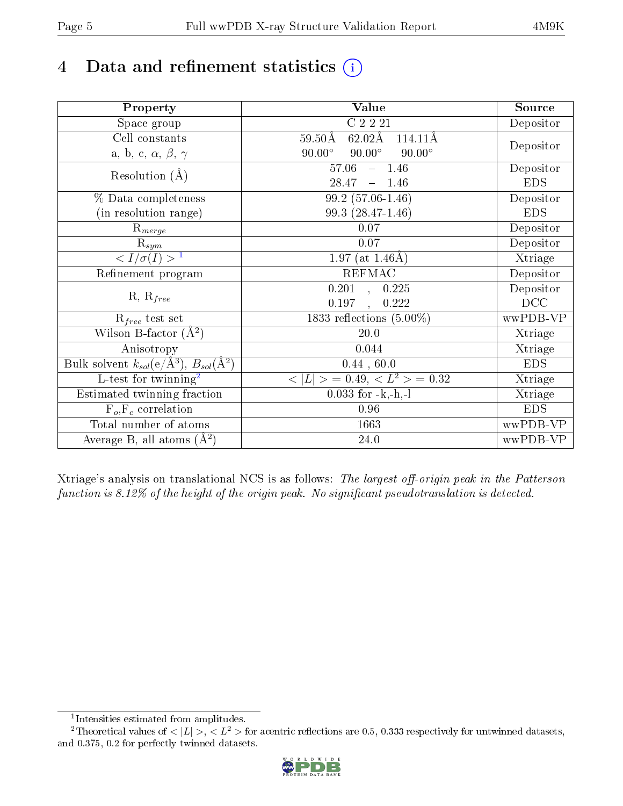# 4 Data and refinement statistics  $(i)$

| Property                                                             | Value                                                        | Source     |
|----------------------------------------------------------------------|--------------------------------------------------------------|------------|
| Space group                                                          | $C$ 2 2 2 1                                                  | Depositor  |
| Cell constants                                                       | $62.02\text{\AA}$<br>$114.11\text{\AA}$<br>$59.50\text{\AA}$ |            |
| a, b, c, $\alpha$ , $\beta$ , $\gamma$                               | $90.00^\circ$<br>$90.00^\circ$<br>$90.00^\circ$              | Depositor  |
| Resolution $(A)$                                                     | 57.06<br>$-1.46$                                             | Depositor  |
|                                                                      | 28.47<br>1.46<br>$\equiv$                                    | <b>EDS</b> |
| % Data completeness                                                  | 99.2 (57.06-1.46)                                            | Depositor  |
| (in resolution range)                                                | 99.3 (28.47-1.46)                                            | <b>EDS</b> |
| $R_{merge}$                                                          | 0.07                                                         | Depositor  |
| $\mathrm{R}_{sym}$                                                   | 0.07                                                         | Depositor  |
| $\langle I/\sigma(I) \rangle^{-1}$                                   | $1.97$ (at 1.46Å)                                            | Xtriage    |
| Refinement program                                                   | $REF\overline{MAC}$                                          | Depositor  |
| $R, R_{free}$                                                        | 0.201<br>0.225<br>$\overline{\phantom{a}},$                  | Depositor  |
|                                                                      | 0.197<br>0.222                                               | DCC        |
| $R_{free}$ test set                                                  | 1833 reflections $(5.00\%)$                                  | wwPDB-VP   |
| Wilson B-factor $(A^2)$                                              | 20.0                                                         | Xtriage    |
| Anisotropy                                                           | 0.044                                                        | Xtriage    |
| Bulk solvent $k_{sol}(e/\mathring{A}^3)$ , $B_{sol}(\mathring{A}^2)$ | 0.44, 60.0                                                   | <b>EDS</b> |
| L-test for twinning <sup>2</sup>                                     | $>$ = 0.49, < $L^2$ > = 0.32<br>< L                          | Xtriage    |
| Estimated twinning fraction                                          | $0.033$ for $-k,-h,-l$                                       | Xtriage    |
| $F_o, F_c$ correlation                                               | 0.96                                                         | <b>EDS</b> |
| Total number of atoms                                                | 1663                                                         | wwPDB-VP   |
| Average B, all atoms $(A^2)$                                         | $24.0\,$                                                     | wwPDB-VP   |

Xtriage's analysis on translational NCS is as follows: The largest off-origin peak in the Patterson function is  $8.12\%$  of the height of the origin peak. No significant pseudotranslation is detected.

<sup>&</sup>lt;sup>2</sup>Theoretical values of  $\langle |L| \rangle$ ,  $\langle L^2 \rangle$  for acentric reflections are 0.5, 0.333 respectively for untwinned datasets, and 0.375, 0.2 for perfectly twinned datasets.



<span id="page-4-1"></span><span id="page-4-0"></span><sup>1</sup> Intensities estimated from amplitudes.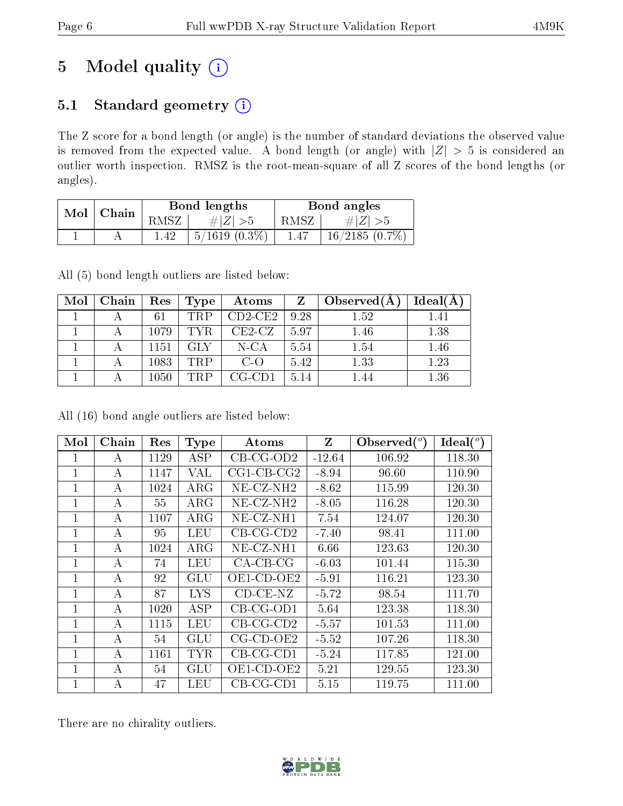# 5 Model quality  $(i)$

## 5.1 Standard geometry (i)

The Z score for a bond length (or angle) is the number of standard deviations the observed value is removed from the expected value. A bond length (or angle) with  $|Z| > 5$  is considered an outlier worth inspection. RMSZ is the root-mean-square of all Z scores of the bond lengths (or angles).

| Mol | Chain |       | Bond lengths       | Bond angles |                  |  |
|-----|-------|-------|--------------------|-------------|------------------|--|
|     |       | RMSZ- | # $ Z  > 5$        | RMSZ        | # $ Z  > 5$      |  |
|     |       | 1.42  | $5/1619$ $(0.3\%)$ | 1.47        | $16/2185(0.7\%)$ |  |

All (5) bond length outliers are listed below:

| Mol | Chain | Res  | Type       | Atoms     |      | Observed $(A)$ | Ideal(A) |
|-----|-------|------|------------|-----------|------|----------------|----------|
|     |       | 61   | <b>TRP</b> | $CD2-CE2$ | 9.28 | 1.52           | 1.41     |
|     |       | 1079 | TYR        | $CE2-CZ$  | 5.97 | 1.46           | 1.38     |
|     |       | 1151 | GLY        | $N$ -CA   | 5.54 | 1.54           | 1.46     |
|     |       | 1083 | <b>TRP</b> | $C$ -O    | 5.42 | 1.33           | 1.23     |
|     |       | 1050 | TRP        | CG-CD1    | 5.14 | 1.44           | 1.36     |

All (16) bond angle outliers are listed below:

| Mol          | Chain    | Res  | <b>Type</b>             | Atoms                | $Z_{\parallel}$ | Observed $(°)$ | $\text{Ideal}({}^o)$ |
|--------------|----------|------|-------------------------|----------------------|-----------------|----------------|----------------------|
|              | А        | 1129 | ASP                     | $CB-CG-OD2$          | $-12.64$        | 106.92         | 118.30               |
| 1            | А        | 1147 | VAL                     | $CG1$ - $CB$ - $CG2$ | $-8.94$         | 96.60          | 110.90               |
| 1            | А        | 1024 | $\rm{ARG}$              | $NE-CZ-NH2$          | $-8.62$         | 115.99         | 120.30               |
| 1            | A        | 55   | $\rm{ARG}$              | $NE- CZ-NH2$         | $-8.05$         | 116.28         | 120.30               |
| 1            | A        | 1107 | <b>ARG</b>              | NE-CZ-NH1            | 7.54            | 124.07         | 120.30               |
| $\mathbf{1}$ | А        | 95   | LEU                     | $CB-CG-CD2$          | $-7.40$         | 98.41          | 111.00               |
| $\mathbf 1$  | А        | 1024 | $\rm{ARG}$              | NE-CZ-NH1            | 6.66            | 123.63         | 120.30               |
| 1            | А        | 74   | LEU                     | $CA-CB-CG$           | $-6.03$         | 101.44         | 115.30               |
| 1            | А        | 92   | GLU                     | OE1-CD-OE2           | $-5.91$         | 116.21         | 123.30               |
| 1            | А        | 87   | <b>LYS</b>              | $CD-CE-NZ$           | $-5.72$         | 98.54          | 111.70               |
| $\mathbf{1}$ | $\bf{A}$ | 1020 | $\overline{\text{ASP}}$ | $CB-CG-OD1$          | 5.64            | 123.38         | 118.30               |
| $\mathbf{1}$ | A        | 1115 | LEU                     | $CB-CG-CD2$          | $-5.57$         | 101.53         | 111.00               |
| $\mathbf{1}$ | А        | 54   | GLU                     | $CG$ - $CD$ - $OE2$  | $-5.52$         | 107.26         | 118.30               |
| 1            | A        | 1161 | <b>TYR</b>              | $CB-CG-CD1$          | $-5.24$         | 117.85         | 121.00               |
| 1            | А        | 54   | GLU                     | OE1-CD-OE2           | 5.21            | 129.55         | 123.30               |
| 1            | А        | 47   | LEU                     | $CB-CG-CD1$          | 5.15            | 119.75         | 111.00               |

There are no chirality outliers.

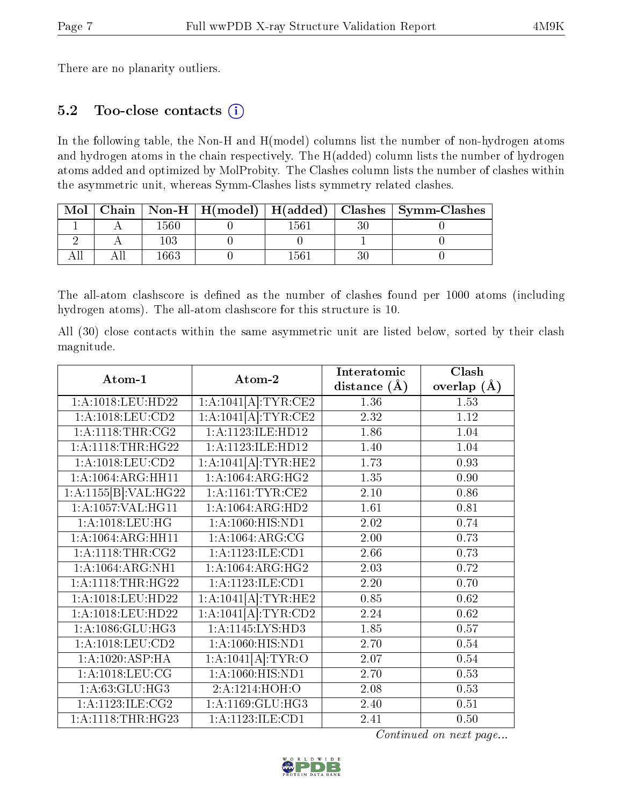There are no planarity outliers.

### 5.2 Too-close contacts (i)

In the following table, the Non-H and H(model) columns list the number of non-hydrogen atoms and hydrogen atoms in the chain respectively. The H(added) column lists the number of hydrogen atoms added and optimized by MolProbity. The Clashes column lists the number of clashes within the asymmetric unit, whereas Symm-Clashes lists symmetry related clashes.

| Mol |       |       | Chain   Non-H   H(model)   H(added)   Clashes   Symm-Clashes |
|-----|-------|-------|--------------------------------------------------------------|
|     | -560- | .561  |                                                              |
|     |       |       |                                                              |
|     |       | . 561 |                                                              |

The all-atom clashscore is defined as the number of clashes found per 1000 atoms (including hydrogen atoms). The all-atom clashscore for this structure is 10.

All (30) close contacts within the same asymmetric unit are listed below, sorted by their clash magnitude.

|                                |                      | Interatomic       | Clash         |
|--------------------------------|----------------------|-------------------|---------------|
| Atom-1                         | Atom-2               | distance $(A)$    | overlap $(A)$ |
| 1:A:1018:LEU:HD22              | 1:A:1041[A]:TYR:CE2  | 1.36              | 1.53          |
| 1:A:1018:LEU:CD2               | 1:A:1041[A]:TYR:CE2  | 2.32              | 1.12          |
| 1: A:1118:THR:CG2              | 1:A:1123:ILE:HD12    | 1.86              | 1.04          |
| $1:A:1118:THR:\overline{HG22}$ | 1:A:1123:ILE:HD12    | 1.40              | 1.04          |
| 1:A:1018:LEU:CD2               | 1:A:1041[A]:TYR:HE2  | 1.73              | 0.93          |
| 1:A:1064:ARG:HH11              | 1:A:1064:ARG:HG2     | 1.35              | 0.90          |
| 1:A:1155[B]:VAL:H G22          | 1: A: 1161: TYR: CE2 | 2.10              | 0.86          |
| 1:A:1057:VAL:HG11              | 1:A:1064:ARG:HD2     | 1.61              | 0.81          |
| 1: A:1018: LEU:HG              | 1:A:1060:HIS:ND1     | 2.02              | 0.74          |
| 1:A:1064:ARG:HH11              | 1:A:1064:ARG:CG      | $\overline{2.00}$ | 0.73          |
| 1: A:1118:THR:CG2              | 1: A: 1123: ILE: CD1 | 2.66              | 0.73          |
| 1:A:1064:ARG:NH1               | 1:A:1064:ARG:HG2     | 2.03              | 0.72          |
| 1: A:1118:THR:H <sub>G22</sub> | 1: A: 1123: ILE: CD1 | 2.20              | 0.70          |
| 1:A:1018:LEU:HD22              | 1:A:1041[A]:TYR:HE2  | 0.85              | 0.62          |
| 1:A:1018:LEU:HD22              | 1:A:1041[A]:TYR:CD2  | 2.24              | 0.62          |
| 1:A:1086:GLU:HG3               | 1:A:1145:LYS:HD3     | 1.85              | 0.57          |
| 1:A:1018:LEU:CD2               | $1:$ A:1060:HIS:ND1  | 2.70              | 0.54          |
| $1:A:1020:ASP:\overline{HA}$   | 1:A:1041[A]:TYR:O    | 2.07              | 0.54          |
| 1:A:1018:LEU:CG                | 1: A:1060:HIS:ND1    | 2.70              | 0.53          |
| 1:A:63:GLU:HG3                 | 2:A:1214:HOH:O       | 2.08              | 0.53          |
| 1:A:1123:ILE:CG2               | 1:A:1169:GLU:HG3     | 2.40              | 0.51          |
| 1:A:1118:THR:HG23              | 1: A: 1123: ILE: CD1 | 2.41              | 0.50          |

Continued on next page...

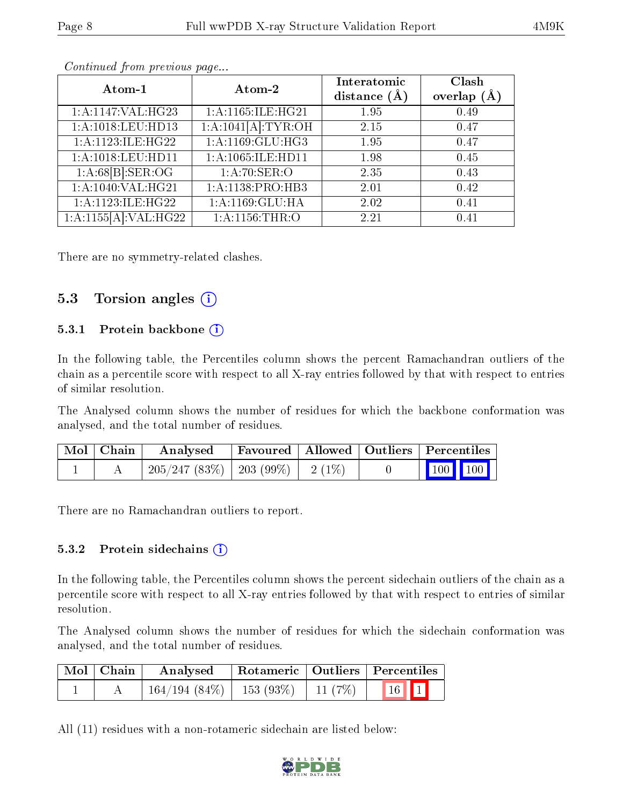| Atom-1               | Atom-2             | Interatomic    | Clash         |
|----------------------|--------------------|----------------|---------------|
|                      |                    | distance $(A)$ | overlap $(A)$ |
| 1: A:1147: VAL:HG23  | 1:A:1165:ILE:HG21  | 1.95           | 0.49          |
| 1:A:1018:LEU:HD13    | 1:A:1041[A]:TYR:OH | 2.15           | 0.47          |
| 1:A:1123:ILE:HG22    | 1: A:1169: GLU:HG3 | 1.95           | 0.47          |
| 1:A:1018:LEU:HD11    | 1:A:1065:ILE:HD11  | 1.98           | 0.45          |
| 1:A:68[B]:SER:OG     | 1:A:70:SER:O       | 2.35           | 0.43          |
| 1: A:1040: VAL:HG21  | 1:A:1138:PRO:HB3   | 2.01           | 0.42          |
| 1:A:1123:ILE:HG22    | 1:A:1169:GLU:HA    | 2.02           | 0.41          |
| 1:A:1155[A]:VAL:HG22 | 1:A:1156:THR:O     | 2.21           | 0.41          |

Continued from previous page...

There are no symmetry-related clashes.

#### 5.3 Torsion angles  $(i)$

#### 5.3.1 Protein backbone (i)

In the following table, the Percentiles column shows the percent Ramachandran outliers of the chain as a percentile score with respect to all X-ray entries followed by that with respect to entries of similar resolution.

The Analysed column shows the number of residues for which the backbone conformation was analysed, and the total number of residues.

| Mol   Chain | Analysed                                | Favoured   Allowed   Outliers   Percentiles |  |                             |  |
|-------------|-----------------------------------------|---------------------------------------------|--|-----------------------------|--|
|             | $205/247$ (83\%)   203 (99\%)   2 (1\%) |                                             |  | $\boxed{100}$ $\boxed{100}$ |  |

There are no Ramachandran outliers to report.

#### 5.3.2 Protein sidechains  $(i)$

In the following table, the Percentiles column shows the percent sidechain outliers of the chain as a percentile score with respect to all X-ray entries followed by that with respect to entries of similar resolution.

The Analysed column shows the number of residues for which the sidechain conformation was analysed, and the total number of residues.

| Mol   Chain | Analysed                                          |  | Rotameric   Outliers   Percentiles |
|-------------|---------------------------------------------------|--|------------------------------------|
|             | $164/194 (84\%)$   153 (93\%)   11 (7\%)   16   1 |  |                                    |

All (11) residues with a non-rotameric sidechain are listed below:

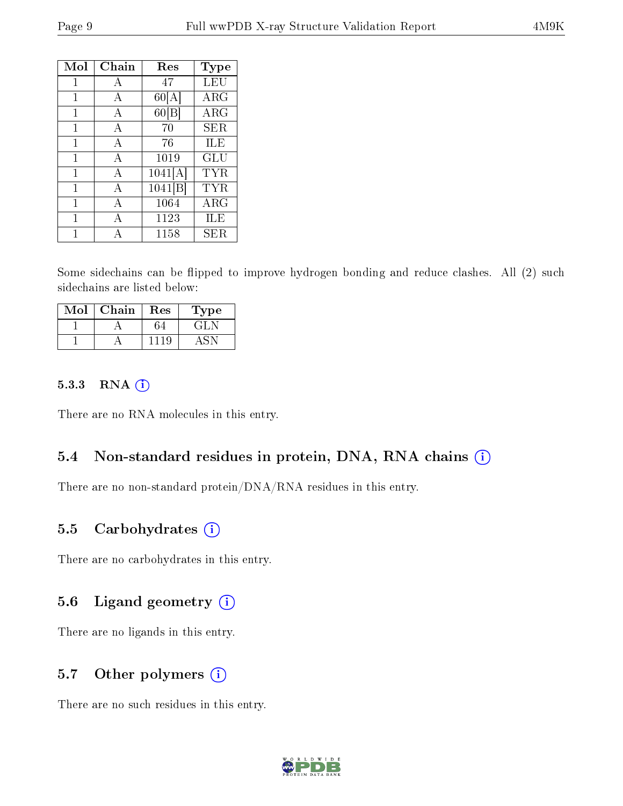| Mol | Chain          | Res     | Type       |
|-----|----------------|---------|------------|
| 1   | $\mathbf{A}$   | 47      | LEU        |
| 1   | A              | 60[A]   | $\rm{ARG}$ |
| 1   | A              | 60[B]   | $\rm{ARG}$ |
| 1   | $\overline{A}$ | 70      | <b>SER</b> |
| 1   | A              | 76      | ILE        |
| 1   | A              | 1019    | GLU        |
| 1   | $\mathbf{A}$   | 1041[A] | TYR.       |
| 1   | $\mathbf{A}$   | 1041[B] | TYR.       |
| 1   | $\overline{A}$ | 1064    | $\rm{ARG}$ |
| 1   | A              | 1123    | ILE        |
|     | Α              | 1158    | SER        |

Some sidechains can be flipped to improve hydrogen bonding and reduce clashes. All (2) such sidechains are listed below:

| Mol | Chain | Res | Type  |
|-----|-------|-----|-------|
|     |       |     | 고급한 다 |
|     |       |     |       |

#### 5.3.3 RNA [O](https://www.wwpdb.org/validation/2017/XrayValidationReportHelp#rna)i

There are no RNA molecules in this entry.

#### 5.4 Non-standard residues in protein, DNA, RNA chains (i)

There are no non-standard protein/DNA/RNA residues in this entry.

#### 5.5 Carbohydrates (i)

There are no carbohydrates in this entry.

#### 5.6 Ligand geometry (i)

There are no ligands in this entry.

### 5.7 [O](https://www.wwpdb.org/validation/2017/XrayValidationReportHelp#nonstandard_residues_and_ligands)ther polymers (i)

There are no such residues in this entry.

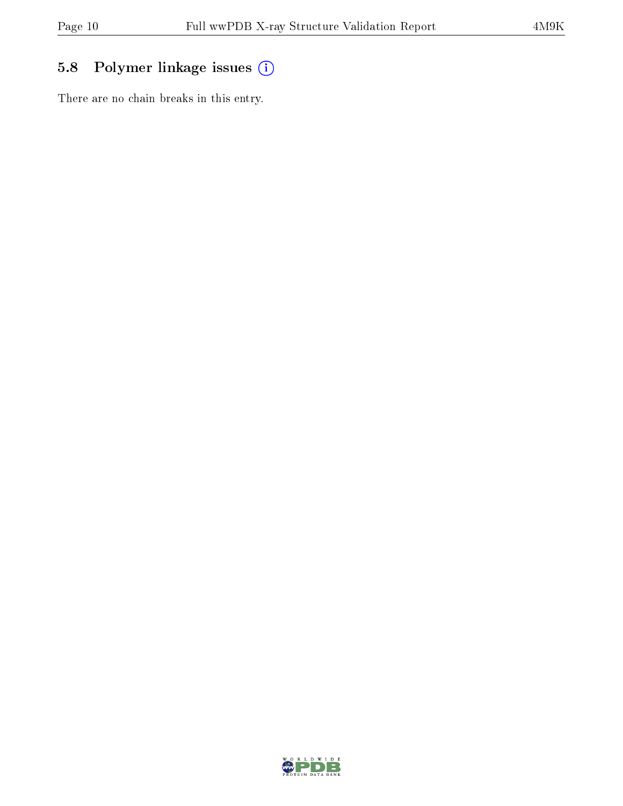## 5.8 Polymer linkage issues (i)

There are no chain breaks in this entry.

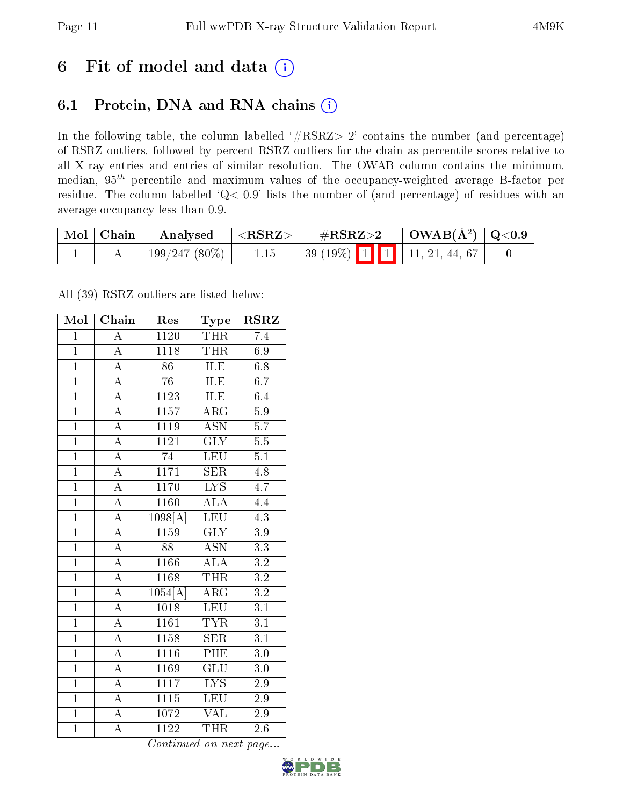# 6 Fit of model and data  $(i)$

### 6.1 Protein, DNA and RNA chains  $(i)$

In the following table, the column labelled  $#RSRZ> 2'$  contains the number (and percentage) of RSRZ outliers, followed by percent RSRZ outliers for the chain as percentile scores relative to all X-ray entries and entries of similar resolution. The OWAB column contains the minimum, median,  $95<sup>th</sup>$  percentile and maximum values of the occupancy-weighted average B-factor per residue. The column labelled ' $Q< 0.9$ ' lists the number of (and percentage) of residues with an average occupancy less than 0.9.

| Mol   Chain | $\boldsymbol{\mathrm{Analysed}}$ | $_{\rm I} <$ RSRZ $>$ | $\rm \#RSRZ{>}2$ |  | $\mid$ OWAB(Å <sup>2</sup> ) $\mid$ Q<0.9         |  |
|-------------|----------------------------------|-----------------------|------------------|--|---------------------------------------------------|--|
|             | $199/247(80\%)$                  |                       |                  |  | 39 (19%) $\boxed{1}$ $\boxed{1}$   11, 21, 44, 67 |  |

All (39) RSRZ outliers are listed below:

| Mol            | Chain              | Res                   | Type                      | <b>RSRZ</b>      |
|----------------|--------------------|-----------------------|---------------------------|------------------|
| $\overline{1}$ | $\overline{\rm A}$ | 1120                  | THR                       | 7.4              |
| $\overline{1}$ | $\overline{A}$     | $11\overline{18}$     | <b>THR</b>                | 6.9              |
| $\overline{1}$ | $\overline{A}$     | $\overline{86}$       | ILE                       | 6.8              |
| $\overline{1}$ | $\overline{\rm A}$ | $\overline{76}$       | ILE                       | $\overline{6.7}$ |
| $\overline{1}$ | $\overline{\rm A}$ | $\overline{1123}$     | <b>ILE</b>                | 6.4              |
| $\overline{1}$ | $\overline{\rm A}$ | 1157                  | $\overline{\rm{ARG}}$     | $\overline{5.9}$ |
| $\overline{1}$ | $\overline{\rm A}$ | 1119                  | $\overline{\mathrm{ASN}}$ | $\overline{5.7}$ |
| $\overline{1}$ | $\overline{A}$     | 1121                  | $\overline{\text{GLY}}$   | $\overline{5.5}$ |
| $\overline{1}$ | $\mathbf A$        | $\overline{74}$       | <b>LEU</b>                | $\overline{5.1}$ |
| $\overline{1}$ | $\overline{\rm A}$ | $\overline{1171}$     | $\overline{\text{SER}}$   | $\overline{4.8}$ |
| $\overline{1}$ | $\overline{A}$     | 1170                  | $\overline{\text{LYS}}$   | $\overline{4.7}$ |
| $\overline{1}$ | $\overline{A}$     | <b>1160</b>           | $\overline{\rm ALA}$      | 4.4              |
| $\overline{1}$ | $\overline{A}$     | $\overline{1098}$ [A] | LEU                       | 4.3              |
| $\overline{1}$ | $\overline{A}$     | 1159                  | $\overline{\text{GLY}}$   | 3.9              |
| $\overline{1}$ | $\overline{A}$     | $\overline{88}$       | $\overline{\mathrm{ASN}}$ | 3.3              |
| $\overline{1}$ | $\overline{\rm A}$ | 1166                  | $\overline{\rm ALA}$      | $\overline{3.2}$ |
| $\overline{1}$ | $\overline{\rm A}$ | 1168                  | <b>THR</b>                | $\overline{3.2}$ |
| $\overline{1}$ | $\boldsymbol{A}$   | $\overline{1054}$ [A] | ARG                       | $\overline{3.2}$ |
| $\overline{1}$ | $\overline{\rm A}$ | $\overline{1018}$     | LEU                       | $\overline{3.1}$ |
| $\overline{1}$ | $\overline{\rm A}$ | 1161                  | <b>TYR</b>                | $\overline{3.1}$ |
| $\overline{1}$ | $\overline{\rm A}$ | 1158                  | $\overline{\text{SER}}$   | $\overline{3.1}$ |
| $\overline{1}$ | $\overline{\rm A}$ | $\overline{1116}$     | $\overline{\mathrm{PHE}}$ | $\overline{3.0}$ |
| $\overline{1}$ | $\overline{\rm A}$ | $11\overline{69}$     | $\overline{\text{GLU}}$   | 3.0              |
| $\overline{1}$ | $\overline{\rm A}$ | $\overline{1117}$     | $\overline{\text{LYS}}$   | $\overline{2.9}$ |
| $\overline{1}$ | $\overline{\rm A}$ | $\overline{1115}$     | LEU                       | 2.9              |
| $\overline{1}$ | $\overline{\rm A}$ | 1072                  | $\overline{\text{VAL}}$   | $\overline{2.9}$ |
| $\overline{1}$ | $\overline{\rm A}$ | $\overline{1122}$     | THR                       | $\overline{2.6}$ |

Continued on next page...